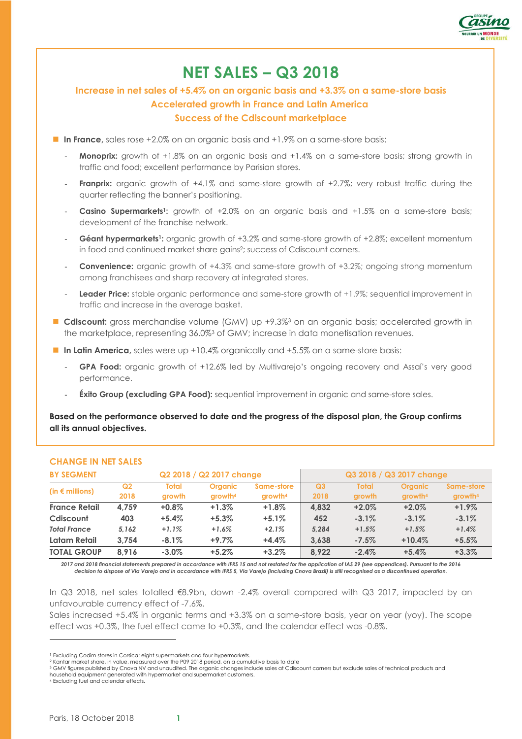

# **NET SALES – Q3 2018**

**Increase in net sales of +5.4% on an organic basis and +3.3% on a same-store basis Accelerated growth in France and Latin America**

#### **Success of the Cdiscount marketplace**

- In France, sales rose +2.0% on an organic basis and +1.9% on a same-store basis:
	- Monoprix: growth of +1.8% on an organic basis and +1.4% on a same-store basis; strong growth in traffic and food; excellent performance by Parisian stores.
	- Franprix: organic growth of +4.1% and same-store growth of +2.7%; very robust traffic during the quarter reflecting the banner's positioning.
	- **Casino Supermarkets<sup>1</sup>:** growth of +2.0% on an organic basis and +1.5% on a same-store basis; development of the franchise network.
	- **Géant hypermarkets<sup>1</sup> :** organic growth of +3.2% and same-store growth of +2.8%; excellent momentum in food and continued market share gains<sup>2</sup>; success of Cdiscount corners.
	- **Convenience:** organic growth of +4.3% and same-store growth of +3.2%; ongoing strong momentum among franchisees and sharp recovery at integrated stores.
	- Leader Price: stable organic performance and same-store growth of +1.9%; sequential improvement in traffic and increase in the average basket.
- Cdiscount: gross merchandise volume (GMV) up +9.3%<sup>3</sup> on an organic basis; accelerated growth in the marketplace, representing 36.0%<sup>3</sup> of GMV; increase in data monetisation revenues.
- In Latin America, sales were up +10.4% organically and +5.5% on a same-store basis:
	- GPA Food: organic growth of +12.6% led by Multivarejo's ongoing recovery and Assaí's very good performance.
	- **Éxito Group (excluding GPA Food):** sequential improvement in organic and same-store sales.

**Based on the performance observed to date and the progress of the disposal plan, the Group confirms all its annual objectives.**

| Q2 2018 / Q2 2017 change<br><b>BY SEGMENT</b> |       |               | Q3 2018 / Q3 2017 change |                     |                |              |                     |                     |
|-----------------------------------------------|-------|---------------|--------------------------|---------------------|----------------|--------------|---------------------|---------------------|
| (in $\epsilon$ millions)                      | Q2    | <b>Total</b>  | <b>Organic</b>           | Same-store          | Q <sub>3</sub> | <b>Total</b> | <b>Organic</b>      | Same-store          |
|                                               | 2018  | <b>arowth</b> | arowth <sup>4</sup>      | qrowth <sup>4</sup> | 2018           | growth       | growth <sup>4</sup> | growth <sup>4</sup> |
| <b>France Retail</b>                          | 4.759 | $+0.8%$       | $+1.3\%$                 | $+1.8%$             | 4.832          | $+2.0%$      | $+2.0%$             | $+1.9\%$            |
| Cdiscount                                     | 403   | $+5.4%$       | $+5.3%$                  | $+5.1%$             | 452            | $-3.1\%$     | $-3.1%$             | $-3.1%$             |
| <b>Total France</b>                           | 5.162 | $+1.1%$       | $+1.6%$                  | $+2.1%$             | 5.284          | $+1.5%$      | $+1.5%$             | $+1.4%$             |
| Latam Retail                                  | 3.754 | $-8.1%$       | $+9.7\%$                 | $+4.4%$             | 3,638          | $-7.5%$      | $+10.4%$            | $+5.5%$             |
| <b>TOTAL GROUP</b>                            | 8,916 | $-3.0\%$      | $+5.2%$                  | $+3.2%$             | 8.922          | $-2.4%$      | $+5.4%$             | $+3.3%$             |

# **CHANGE IN NET SALES**

*2017 and 2018 financial statements prepared in accordance with IFRS 15 and not restated for the application of IAS 29 (see appendices). Pursuant to the 2016 decision to dispose of Via Varejo and in accordance with IFRS 5, Via Varejo (including Cnova Brazil) is still recognised as a discontinued operation.*

In Q3 2018, net sales totalled €8.9bn, down -2.4% overall compared with Q3 2017, impacted by an unfavourable currency effect of -7.6%.

Sales increased +5.4% in organic terms and +3.3% on a same-store basis, year on year (yoy). The scope effect was +0.3%, the fuel effect came to +0.3%, and the calendar effect was -0.8%.

<sup>4</sup> Excluding fuel and calendar effects.

<sup>1</sup> Excluding Codim stores in Corsica: eight supermarkets and four hypermarkets.

<sup>2</sup> Kantar market share, in value, measured over the P09 2018 period, on a cumulative basis to date

<sup>&</sup>lt;sup>3</sup> GMV figures published by Cnova NV and unaudited. The organic changes include sales at Cdiscount corners but exclude sales of technical products and household equipment generated with hypermarket and supermarket customers.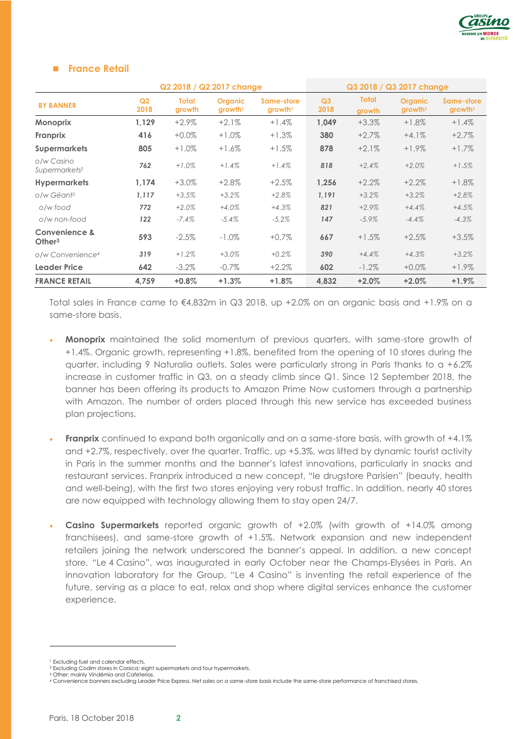

#### **France Retail**

|                                         |                        |                        | Q2 2018 / Q2 2017 change              |                                   | Q3 2018 / Q3 2017 change |                        |                                       |                                   |
|-----------------------------------------|------------------------|------------------------|---------------------------------------|-----------------------------------|--------------------------|------------------------|---------------------------------------|-----------------------------------|
| <b>BY BANNER</b>                        | Q <sub>2</sub><br>2018 | <b>Total</b><br>growth | <b>Organic</b><br>growth <sup>1</sup> | Same-store<br>growth <sup>1</sup> | Q <sub>3</sub><br>2018   | <b>Total</b><br>growth | <b>Organic</b><br>growth <sup>1</sup> | Same-store<br>growth <sup>1</sup> |
| <b>Monoprix</b>                         | 1,129                  | $+2.9\%$               | $+2.1%$                               | $+1.4%$                           | 1,049                    | $+3.3\%$               | $+1.8\%$                              | $+1.4%$                           |
| Franprix                                | 416                    | $+0.0%$                | $+1.0%$                               | $+1.3%$                           | 380                      | $+2.7%$                | $+4.1%$                               | $+2.7%$                           |
| <b>Supermarkets</b>                     | 805                    | $+1.0%$                | $+1.6\%$                              | $+1.5\%$                          | 878                      | $+2.1%$                | $+1.9\%$                              | $+1.7\%$                          |
| o/w Casino<br>Supermarkets <sup>2</sup> | 762                    | $+1.0%$                | $+1.4%$                               | $+1.4%$                           | 818                      | $+2.4%$                | $+2.0%$                               | $+1.5%$                           |
| <b>Hypermarkets</b>                     | 1.174                  | $+3.0\%$               | $+2.8\%$                              | $+2.5%$                           | 1,256                    | $+2.2%$                | $+2.2%$                               | $+1.8\%$                          |
| o/w Géant <sup>2</sup>                  | 1,117                  | $+3.5%$                | $+3.2%$                               | $+2.8%$                           | 1,191                    | $+3.2%$                | $+3.2%$                               | $+2.8%$                           |
| o/w food                                | 772                    | $+2.0\%$               | $+4.0%$                               | $+4.3%$                           | 821                      | $+2.9%$                | $+4.4%$                               | $+4.5%$                           |
| o/w non-food                            | 122                    | $-7.4%$                | $-5.4%$                               | $-5.2%$                           | 147                      | $-5.9\%$               | $-4.4\%$                              | $-4.3\%$                          |
| Convenience &<br>Other <sup>3</sup>     | 593                    | $-2.5%$                | $-1.0\%$                              | $+0.7%$                           | 667                      | $+1.5%$                | $+2.5%$                               | $+3.5%$                           |
| o/w Convenience <sup>4</sup>            | 319                    | $+1.2%$                | $+3.0%$                               | $+0.2%$                           | 390                      | $+4.4%$                | $+4.3%$                               | $+3.2%$                           |
| <b>Leader Price</b>                     | 642                    | $-3.2\%$               | $-0.7\%$                              | $+2.2%$                           | 602                      | $-1.2\%$               | $+0.0\%$                              | $+1.9\%$                          |
| <b>FRANCE RETAIL</b>                    | 4,759                  | $+0.8\%$               | $+1.3%$                               | $+1.8%$                           | 4,832                    | $+2.0%$                | $+2.0%$                               | $+1.9\%$                          |

Total sales in France came to  $\epsilon$ 4,832m in Q3 2018, up +2.0% on an organic basis and +1.9% on a same-store basis.

- **Monoprix** maintained the solid momentum of previous quarters, with same-store growth of +1.4%. Organic growth, representing +1.8%, benefited from the opening of 10 stores during the quarter, including 9 Naturalia outlets. Sales were particularly strong in Paris thanks to a +6.2% increase in customer traffic in Q3, on a steady climb since Q1. Since 12 September 2018, the banner has been offering its products to Amazon Prime Now customers through a partnership with Amazon. The number of orders placed through this new service has exceeded business plan projections.
- **Franprix** continued to expand both organically and on a same-store basis, with growth of +4.1% and +2.7%, respectively, over the quarter. Traffic, up +5.3%, was lifted by dynamic tourist activity in Paris in the summer months and the banner's latest innovations, particularly in snacks and restaurant services. Franprix introduced a new concept, "le drugstore Parisien" (beauty, health and well-being), with the first two stores enjoying very robust traffic. In addition, nearly 40 stores are now equipped with technology allowing them to stay open 24/7.
- **Casino Supermarkets** reported organic growth of +2.0% (with growth of +14.0% among franchisees), and same-store growth of +1.5%. Network expansion and new independent retailers joining the network underscored the banner's appeal. In addition, a new concept store, "Le 4 Casino", was inaugurated in early October near the Champs-Elysées in Paris. An innovation laboratory for the Group, "Le 4 Casino" is inventing the retail experience of the future, serving as a place to eat, relax and shop where digital services enhance the customer experience.

<sup>1</sup> Excluding fuel and calendar effects.

<sup>2</sup> Excluding Codim stores in Corsica: eight supermarkets and four hypermarkets. Other: mainly Vindémia and Cafeterias.

<sup>4</sup> Convenience banners excluding Leader Price Express. Net sales on a same-store basis include the same-store performance of franchised stores.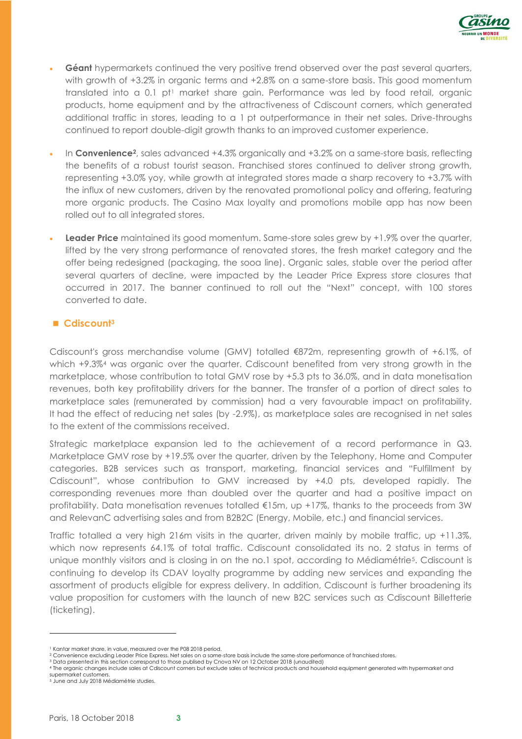

- **Géant** hypermarkets continued the very positive trend observed over the past several quarters, with growth of +3.2% in organic terms and +2.8% on a same-store basis. This good momentum translated into a 0.1 pt<sup>1</sup> market share gain. Performance was led by food retail, organic products, home equipment and by the attractiveness of Cdiscount corners, which generated additional traffic in stores, leading to a 1 pt outperformance in their net sales. Drive-throughs continued to report double-digit growth thanks to an improved customer experience.
- In **Convenience2**, sales advanced +4.3% organically and +3.2% on a same-store basis, reflecting the benefits of a robust tourist season. Franchised stores continued to deliver strong growth, representing +3.0% yoy, while growth at integrated stores made a sharp recovery to +3.7% with the influx of new customers, driven by the renovated promotional policy and offering, featuring more organic products. The Casino Max loyalty and promotions mobile app has now been rolled out to all integrated stores.
- **Leader Price** maintained its good momentum. Same-store sales grew by +1.9% over the quarter, lifted by the very strong performance of renovated stores, the fresh market category and the offer being redesigned (packaging, the sooa line). Organic sales, stable over the period after several quarters of decline, were impacted by the Leader Price Express store closures that occurred in 2017. The banner continued to roll out the "Next" concept, with 100 stores converted to date.

## **Cdiscount<sup>3</sup>**

Cdiscount's gross merchandise volume (GMV) totalled €872m, representing growth of +6.1%, of which +9.3%4 was organic over the quarter. Cdiscount benefited from very strong growth in the marketplace, whose contribution to total GMV rose by +5.3 pts to 36.0%, and in data monetisation revenues, both key profitability drivers for the banner. The transfer of a portion of direct sales to marketplace sales (remunerated by commission) had a very favourable impact on profitability. It had the effect of reducing net sales (by -2.9%), as marketplace sales are recognised in net sales to the extent of the commissions received.

Strategic marketplace expansion led to the achievement of a record performance in Q3. Marketplace GMV rose by +19.5% over the quarter, driven by the Telephony, Home and Computer categories. B2B services such as transport, marketing, financial services and "Fulfillment by Cdiscount", whose contribution to GMV increased by +4.0 pts, developed rapidly. The corresponding revenues more than doubled over the quarter and had a positive impact on profitability. Data monetisation revenues totalled €15m, up +17%, thanks to the proceeds from 3W and RelevanC advertising sales and from B2B2C (Energy, Mobile, etc.) and financial services.

Traffic totalled a very high 216m visits in the quarter, driven mainly by mobile traffic, up +11.3%, which now represents 64.1% of total traffic. Cdiscount consolidated its no. 2 status in terms of unique monthly visitors and is closing in on the no.1 spot, according to Médiamétrie<sup>5</sup>. Cdiscount is continuing to develop its CDAV loyalty programme by adding new services and expanding the assortment of products eligible for express delivery. In addition, Cdiscount is further broadening its value proposition for customers with the launch of new B2C services such as Cdiscount Billetterie (ticketing).

<sup>1</sup> Kantar market share, in value, measured over the P08 2018 period.

<sup>2</sup> Convenience excluding Leader Price Express. Net sales on a same-store basis include the same-store performance of franchised stores.

<sup>3</sup> Data presented in this section correspond to those publised by Cnova NV on 12 October 2018 (unaudited)

<sup>4</sup> The organic changes include sales at Cdiscount corners but exclude sales of technical products and household equipment generated with hypermarket and supermarket customers.

<sup>5</sup> June and July 2018 Médiamétrie studies.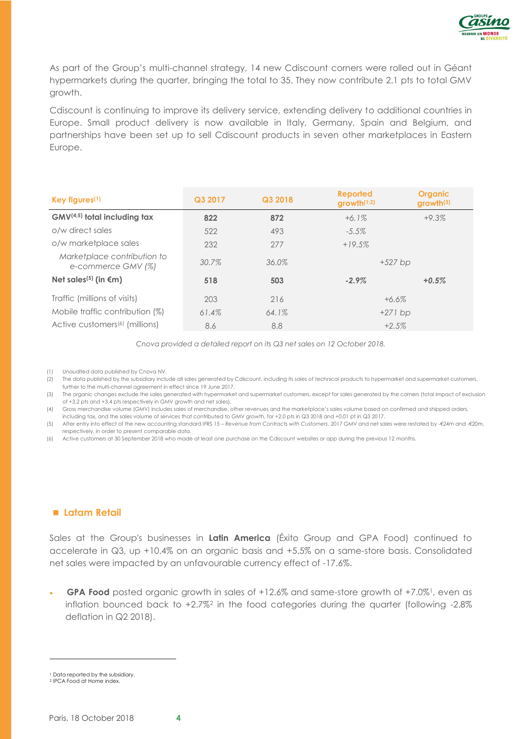

As part of the Group's multi-channel strategy, 14 new Cdiscount corners were rolled out in Géant hypermarkets during the quarter, bringing the total to 35. They now contribute 2.1 pts to total GMV growth.

Cdiscount is continuing to improve its delivery service, extending delivery to additional countries in Europe. Small product delivery is now available in Italy, Germany, Spain and Belgium, and partnerships have been set up to sell Cdiscount products in seven other marketplaces in Eastern Europe.

| Key figures $(1)$                                 | Q3 2017 | Q3 2018 | <b>Reported</b><br>growth <sup>(1,2)</sup> | <b>Organic</b><br>growth <sup>(3)</sup> |
|---------------------------------------------------|---------|---------|--------------------------------------------|-----------------------------------------|
| GMV <sup>(4;5)</sup> total including tax          | 822     | 872     | $+6.1\%$                                   | $+9.3%$                                 |
| o/w direct sales                                  | 522     | 493     | $-5.5\%$                                   |                                         |
| o/w marketplace sales                             | 232     | 277     | $+19.5%$                                   |                                         |
| Marketplace contribution to<br>e-commerce GMV (%) | 30.7%   | 36.0%   | $+527$ bp                                  |                                         |
| Net sales <sup>(5)</sup> (in $\epsilon$ m)        | 518     | 503     | $-2.9\%$                                   | $+0.5%$                                 |
| Traffic (millions of visits)                      | 203     | 216     | $+6.6%$                                    |                                         |
| Mobile traffic contribution (%)                   | 61.4%   | 64.1%   | $+271$ bp                                  |                                         |
| Active customers <sup>(6)</sup> (millions)        | 8.6     | 8.8     | $+2.5%$                                    |                                         |

*Cnova provided a detailed report on its Q3 net sales on 12 October 2018.*

(1) Unaudited data published by Cnova NV.

(2) The data published by the subsidiary include all sales generated by Cdiscount, including its sales of technical products to hypermarket and supermarket customers, further to the multi-channel agreement in effect since 19 June 2017.

(3) The organic changes exclude the sales generated with hypermarket and supermarket customers, except for sales generated by the corners (total impact of exclusion of +3.2 pts and +3.4 pts respectively in GMV growth and net sales).

(4) Gross merchandise volume (GMV) includes sales of merchandise, other revenues and the marketplace's sales volume based on confirmed and shipped orders, including tax, and the sales volume of services that contributed to GMV growth, for +2.0 pts in Q3 2018 and +0.01 pt in Q3 2017.

(5) After entry into effect of the new accounting standard IFRS 15 – *Revenue from Contracts with Customers*, 2017 GMV and net sales were restated by -€24m and -€20m, respectively, in order to present comparable data.

(6) Active customers at 30 September 2018 who made at least one purchase on the Cdiscount websites or app during the previous 12 months.

#### **Latam Retail**

Sales at the Group's businesses in **Latin America** (Éxito Group and GPA Food) continued to accelerate in Q3, up +10.4% on an organic basis and +5.5% on a same-store basis. Consolidated net sales were impacted by an unfavourable currency effect of -17.6%.

GPA Food posted organic growth in sales of +12.6% and same-store growth of +7.0%<sup>1</sup>, even as inflation bounced back to  $+2.7\%$ <sup>2</sup> in the food categories during the quarter (following  $-2.8\%$ deflation in Q2 2018).

<sup>1</sup> Data reported by the subsidiary. <sup>2</sup> IPCA Food at Home index.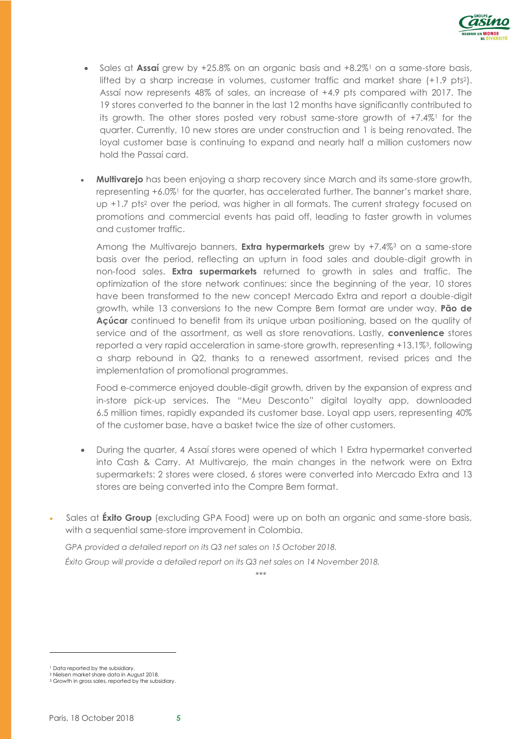

- Sales at **Assaí** grew by +25.8% on an organic basis and +8.2%<sup>1</sup> on a same-store basis, lifted by a sharp increase in volumes, customer traffic and market share (+1.9 pts2). Assaí now represents 48% of sales, an increase of +4.9 pts compared with 2017. The 19 stores converted to the banner in the last 12 months have significantly contributed to its growth. The other stores posted very robust same-store growth of  $+7.4\%$ <sup>1</sup> for the quarter. Currently, 10 new stores are under construction and 1 is being renovated. The loyal customer base is continuing to expand and nearly half a million customers now hold the Passaí card.
- **Multivarejo** has been enjoying a sharp recovery since March and its same-store growth, representing +6.0%<sup>1</sup> for the quarter, has accelerated further. The banner's market share, up +1.7 pts<sup>2</sup> over the period, was higher in all formats. The current strategy focused on promotions and commercial events has paid off, leading to faster growth in volumes and customer traffic.

Among the Multivarejo banners, **Extra hypermarkets** grew by +7.4%<sup>3</sup> on a same-store basis over the period, reflecting an upturn in food sales and double-digit growth in non-food sales. **Extra supermarkets** returned to growth in sales and traffic. The optimization of the store network continues: since the beginning of the year, 10 stores have been transformed to the new concept Mercado Extra and report a double-digit growth, while 13 conversions to the new Compre Bem format are under way. **Pão de Açúcar** continued to benefit from its unique urban positioning, based on the quality of service and of the assortment, as well as store renovations. Lastly, **convenience** stores reported a very rapid acceleration in same-store growth, representing +13.1%3, following a sharp rebound in Q2, thanks to a renewed assortment, revised prices and the implementation of promotional programmes.

Food e-commerce enjoyed double-digit growth, driven by the expansion of express and in-store pick-up services. The "Meu Desconto" digital loyalty app, downloaded 6.5 million times, rapidly expanded its customer base. Loyal app users, representing 40% of the customer base, have a basket twice the size of other customers.

- During the quarter, 4 Assaí stores were opened of which 1 Extra hypermarket converted into Cash & Carry. At Multivarejo, the main changes in the network were on Extra supermarkets: 2 stores were closed, 6 stores were converted into Mercado Extra and 13 stores are being converted into the Compre Bem format.
- Sales at **Éxito Group** (excluding GPA Food) were up on both an organic and same-store basis, with a sequential same-store improvement in Colombia.

*GPA provided a detailed report on its Q3 net sales on 15 October 2018.* 

*Éxito Group will provide a detailed report on its Q3 net sales on 14 November 2018.*

*\*\*\**

-

<sup>1</sup> Data reported by the subsidiary.

<sup>2</sup> Nielsen market share data in August 2018. <sup>3</sup> Growth in gross sales, reported by the subsidiary.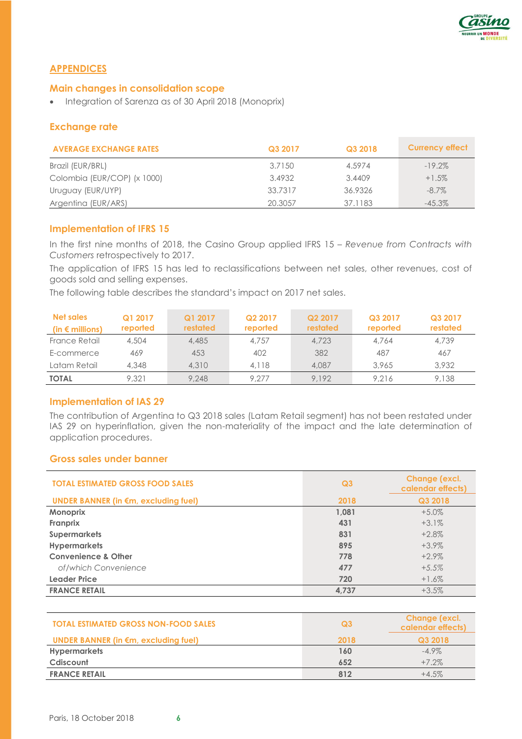

## **APPENDICES**

#### **Main changes in consolidation scope**

• Integration of Sarenza as of 30 April 2018 (Monoprix)

#### **Exchange rate**

| <b>AVERAGE EXCHANGE RATES</b> | Q3 2017 | Q3 2018 | <b>Currency effect</b> |
|-------------------------------|---------|---------|------------------------|
| Brazil (EUR/BRL)              | 3.7150  | 4.5974  | $-19.2\%$              |
| Colombia (EUR/COP) (x 1000)   | 3.4932  | 3.4409  | $+1.5%$                |
| Uruguay (EUR/UYP)             | 33.7317 | 36.9326 | $-8.7\%$               |
| Argentina (EUR/ARS)           | 20.3057 | 37.1183 | $-45.3\%$              |

#### **Implementation of IFRS 15**

In the first nine months of 2018, the Casino Group applied IFRS 15 – *Revenue from Contracts with Customers* retrospectively to 2017.

The application of IFRS 15 has led to reclassifications between net sales, other revenues, cost of goods sold and selling expenses.

The following table describes the standard's impact on 2017 net sales.

| Net sales<br>(in $\epsilon$ millions) | Q1 2017<br>reported | Q1 2017<br><b>restated</b> | Q2 2017<br>reported | Q2 2017<br><b>restated</b> | Q3 2017<br>reported | Q3 2017<br>restated |
|---------------------------------------|---------------------|----------------------------|---------------------|----------------------------|---------------------|---------------------|
| France Retail                         | 4,504               | 4,485                      | 4,757               | 4,723                      | 4.764               | 4.739               |
| E-commerce                            | 469                 | 453                        | 402                 | 382                        | 487                 | 467                 |
| Latam Retail                          | 4,348               | 4,310                      | 4.118               | 4,087                      | 3.965               | 3.932               |
| <b>TOTAL</b>                          | 9.321               | 9,248                      | 9.277               | 9,192                      | 9.216               | 9,138               |

## **Implementation of IAS 29**

The contribution of Argentina to Q3 2018 sales (Latam Retail segment) has not been restated under IAS 29 on hyperinflation, given the non-materiality of the impact and the late determination of application procedures.

#### **Gross sales under banner**

| <b>TOTAL ESTIMATED GROSS FOOD SALES</b>        | Q <sub>3</sub> | Change (excl.<br>calendar effects) |
|------------------------------------------------|----------------|------------------------------------|
| UNDER BANNER (in $\epsilon$ m, excluding fuel) | 2018           | Q3 2018                            |
| <b>Monoprix</b>                                | 1,081          | $+5.0\%$                           |
| Franprix                                       | 431            | $+3.1\%$                           |
| <b>Supermarkets</b>                            | 831            | $+2.8\%$                           |
| <b>Hypermarkets</b>                            | 895            | $+3.9\%$                           |
| <b>Convenience &amp; Other</b>                 | 778            | $+2.9\%$                           |
| of/which Convenience                           | 477            | $+5.5%$                            |
| <b>Leader Price</b>                            | 720            | $+1.6\%$                           |
| <b>FRANCE RETAIL</b>                           | 4,737          | $+3.5%$                            |

| <b>TOTAL ESTIMATED GROSS NON-FOOD SALES</b>    | Q <sub>3</sub> | Change (excl.<br>calendar effects) |
|------------------------------------------------|----------------|------------------------------------|
| UNDER BANNER (in $\epsilon$ m, excluding fuel) | 2018           | Q3 2018                            |
| <b>Hypermarkets</b>                            | 160            | $-4.9\%$                           |
| Cdiscount                                      | 652            | $+7.2\%$                           |
| <b>FRANCE RETAIL</b>                           | 812            | $+4.5\%$                           |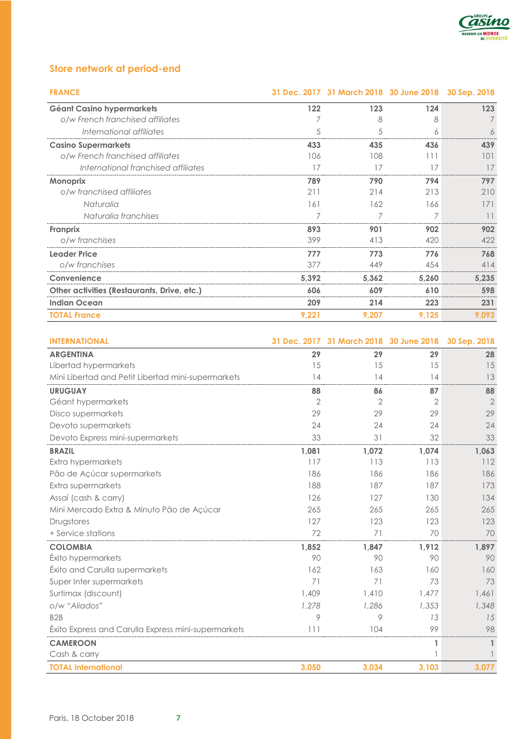

# **Store network at period-end**

| <b>FRANCE</b>                               |       | 31 Dec. 2017 31 March 2018 30 June 2018 30 Sep. 2018 |       |       |  |
|---------------------------------------------|-------|------------------------------------------------------|-------|-------|--|
| Géant Casino hypermarkets                   | 122   | 123                                                  | 124   | 123   |  |
| o/w French franchised affiliates            |       | 8                                                    | 8     |       |  |
| International affiliates                    | 5     | 5                                                    | 6     | 6     |  |
| <b>Casino Supermarkets</b>                  | 433   | 435                                                  | 436   | 439   |  |
| o/w French franchised affiliates            | 106   | 108                                                  | 111   | 101   |  |
| International franchised affiliates         | 17    | 17                                                   | 17    | 17    |  |
| <b>Monoprix</b>                             | 789   | 790                                                  | 794   | 797   |  |
| o/w franchised affiliates                   | 211   | 214                                                  | 213   | 210   |  |
| Naturalia                                   | 161   | 162                                                  | 166   | 171   |  |
| Naturalia franchises                        | 7     | 7                                                    | 7     | 11    |  |
| Franprix                                    | 893   | 901                                                  | 902   | 902   |  |
| o/w franchises                              | 399   | 413                                                  | 420   | 422   |  |
| <b>Leader Price</b>                         | 777   | 773                                                  | 776   | 768   |  |
| o/w franchises                              | 377   | 449                                                  | 454   | 414   |  |
| Convenience                                 | 5,392 | 5,362                                                | 5,260 | 5,235 |  |
| Other activities (Restaurants, Drive, etc.) | 606   | 609                                                  | 610   | 598   |  |
| <b>Indian Ocean</b>                         | 209   | 214                                                  | 223   | 231   |  |
| <b>TOTAL France</b>                         | 9,221 | 9,207                                                | 9,125 | 9,093 |  |

| <b>INTERNATIONAL</b>                                |                | 31 Dec. 2017 31 March 2018 30 June 2018 |              | 30 Sep. 2018   |
|-----------------------------------------------------|----------------|-----------------------------------------|--------------|----------------|
| <b>ARGENTINA</b>                                    | 29             | 29                                      | 29           | 28             |
| Libertad hypermarkets                               | 15             | 15                                      | 15           | 15             |
| Mini Libertad and Petit Libertad mini-supermarkets  | 14             | 14                                      | 14           | 13             |
| <b>URUGUAY</b>                                      | 88             | 86                                      | 87           | 88             |
| Géant hypermarkets                                  | $\overline{2}$ | $\overline{2}$                          | 2            | $\overline{2}$ |
| Disco supermarkets                                  | 29             | 29                                      | 29           | 29             |
| Devoto supermarkets                                 | 24             | 24                                      | 24           | 24             |
| Devoto Express mini-supermarkets                    | 33             | 31                                      | 32           | 33             |
| <b>BRAZIL</b>                                       | 1,081          | 1,072                                   | 1,074        | 1,063          |
| Extra hypermarkets                                  | 117            | 113                                     | 113          | 112            |
| Pão de Açúcar supermarkets                          | 186            | 186                                     | 186          | 186            |
| Extra supermarkets                                  | 188            | 187                                     | 187          | 173            |
| Assaí (cash & carry)                                | 126            | 127                                     | 130          | 134            |
| Mini Mercado Extra & Minuto Pão de Açúcar           | 265            | 265                                     | 265          | 265            |
| Drugstores                                          | 127            | 123                                     | 123          | 123            |
| + Service stations                                  | 72             | 71                                      | 70           | 70             |
| <b>COLOMBIA</b>                                     | 1,852          | 1,847                                   | 1,912        | 1,897          |
| Éxito hypermarkets                                  | 90             | 90                                      | 90           | 90             |
| Éxito and Carulla supermarkets                      | 162            | 163                                     | 160          | 160            |
| Super Inter supermarkets                            | 71             | 71                                      | 73           | 73             |
| Surtimax (discount)                                 | 1,409          | 1,410                                   | 1,477        | 1,461          |
| o/w "Aliados"                                       | 1,278          | 1,286                                   | 1,353        | 1,348          |
| B <sub>2</sub> B                                    | 9              | 9                                       | 13           | 15             |
| Éxito Express and Carulla Express mini-supermarkets | 111            | 104                                     | 99           | 98             |
| <b>CAMEROON</b>                                     |                |                                         | $\mathbf{1}$ | $\mathbf{1}$   |
| Cash & carry                                        |                |                                         | 1            |                |
| <b>TOTAL International</b>                          | 3,050          | 3,034                                   | 3,103        | 3,077          |